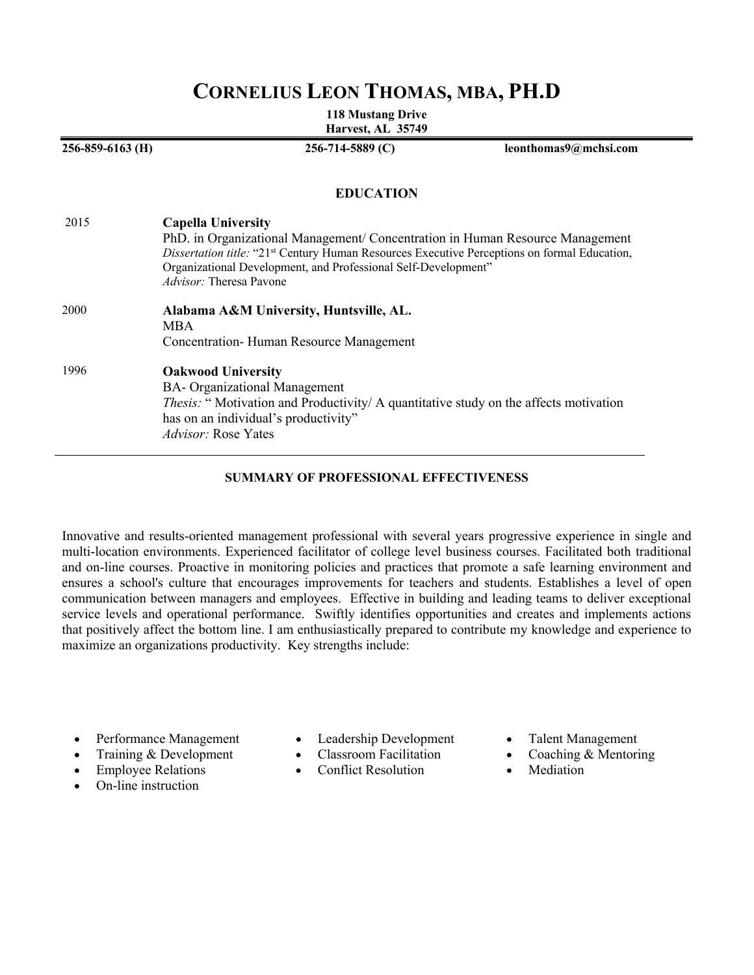# **CORNELIUS LEON THOMAS, MBA, PH.D**

**118 Mustang Drive Harvest, AL 35749**

**256-859-6163 (H) 256-714-5889 (C) leonthomas9@mchsi.com EDUCATION** 2015 **Capella University** PhD. in Organizational Management/ Concentration in Human Resource Management *Dissertation title:* "21st Century Human Resources Executive Perceptions on formal Education, Organizational Development, and Professional Self-Development" *Advisor:* Theresa Pavone 2000 **Alabama A&M University, Huntsville, AL.** MBA Concentration- Human Resource Management 1996 **Oakwood University** BA- Organizational Management *Thesis:* " Motivation and Productivity/ A quantitative study on the affects motivation has on an individual's productivity" *Advisor:* Rose Yates

### **SUMMARY OF PROFESSIONAL EFFECTIVENESS**

Innovative and results-oriented management professional with several years progressive experience in single and multi-location environments. Experienced facilitator of college level business courses. Facilitated both traditional and on-line courses. Proactive in monitoring policies and practices that promote a safe learning environment and ensures a school's culture that encourages improvements for teachers and students. Establishes a level of open communication between managers and employees. Effective in building and leading teams to deliver exceptional service levels and operational performance. Swiftly identifies opportunities and creates and implements actions that positively affect the bottom line. I am enthusiastically prepared to contribute my knowledge and experience to maximize an organizations productivity. Key strengths include:

- Performance Management
- Training & Development
- Employee Relations
- On-line instruction
- Leadership Development
- Classroom Facilitation
- Conflict Resolution
- Talent Management
- Coaching & Mentoring
- **Mediation**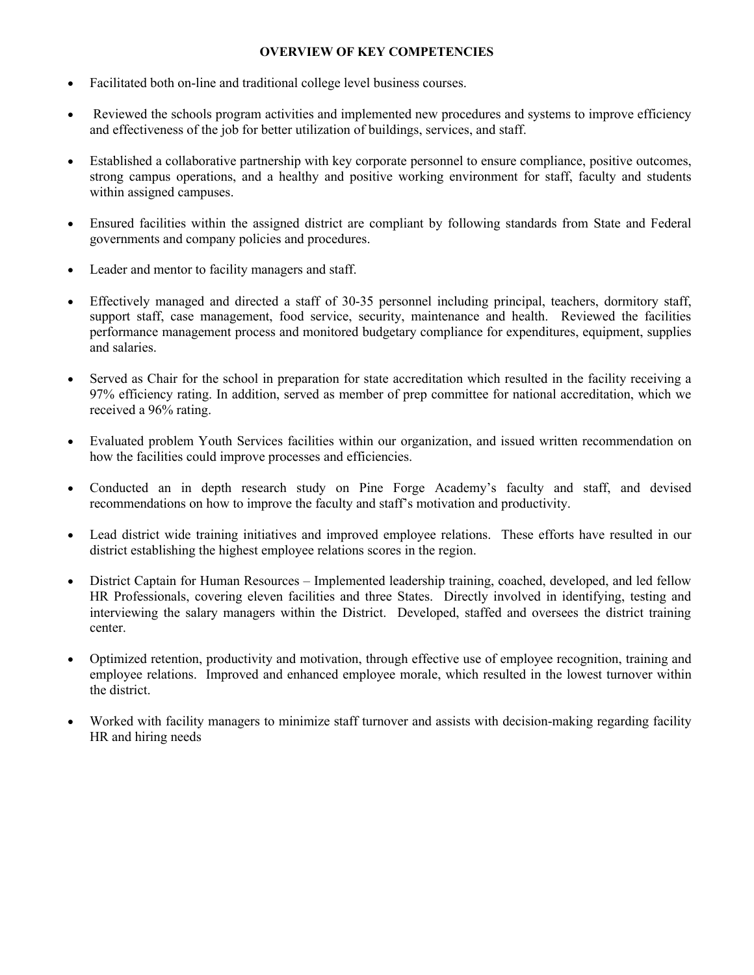### **OVERVIEW OF KEY COMPETENCIES**

- Facilitated both on-line and traditional college level business courses.
- Reviewed the schools program activities and implemented new procedures and systems to improve efficiency and effectiveness of the job for better utilization of buildings, services, and staff.
- Established a collaborative partnership with key corporate personnel to ensure compliance, positive outcomes, strong campus operations, and a healthy and positive working environment for staff, faculty and students within assigned campuses.
- Ensured facilities within the assigned district are compliant by following standards from State and Federal governments and company policies and procedures.
- Leader and mentor to facility managers and staff.
- Effectively managed and directed a staff of 30-35 personnel including principal, teachers, dormitory staff, support staff, case management, food service, security, maintenance and health. Reviewed the facilities performance management process and monitored budgetary compliance for expenditures, equipment, supplies and salaries.
- Served as Chair for the school in preparation for state accreditation which resulted in the facility receiving a 97% efficiency rating. In addition, served as member of prep committee for national accreditation, which we received a 96% rating.
- Evaluated problem Youth Services facilities within our organization, and issued written recommendation on how the facilities could improve processes and efficiencies.
- Conducted an in depth research study on Pine Forge Academy's faculty and staff, and devised recommendations on how to improve the faculty and staff's motivation and productivity.
- Lead district wide training initiatives and improved employee relations. These efforts have resulted in our district establishing the highest employee relations scores in the region.
- District Captain for Human Resources Implemented leadership training, coached, developed, and led fellow HR Professionals, covering eleven facilities and three States. Directly involved in identifying, testing and interviewing the salary managers within the District. Developed, staffed and oversees the district training center.
- Optimized retention, productivity and motivation, through effective use of employee recognition, training and employee relations. Improved and enhanced employee morale, which resulted in the lowest turnover within the district.
- Worked with facility managers to minimize staff turnover and assists with decision-making regarding facility HR and hiring needs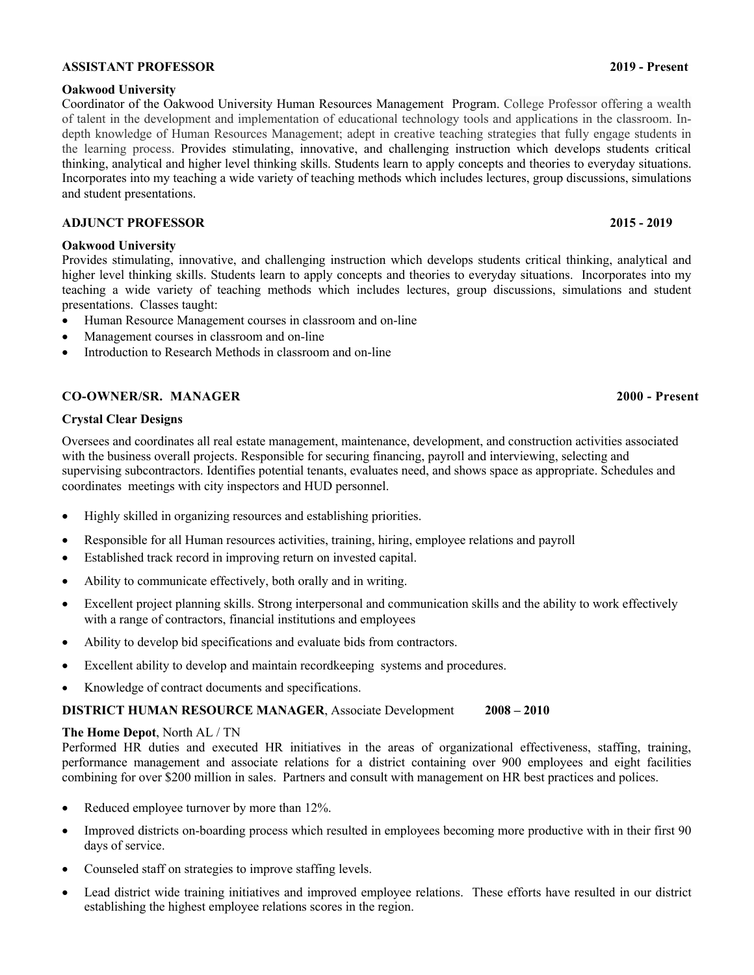### **ASSISTANT PROFESSOR 2019 - Present**

### **Oakwood University**

Coordinator of the Oakwood University Human Resources Management Program. College Professor offering a wealth of talent in the development and implementation of educational technology tools and applications in the classroom. Indepth knowledge of Human Resources Management; adept in creative teaching strategies that fully engage students in the learning process. Provides stimulating, innovative, and challenging instruction which develops students critical thinking, analytical and higher level thinking skills. Students learn to apply concepts and theories to everyday situations. Incorporates into my teaching a wide variety of teaching methods which includes lectures, group discussions, simulations and student presentations.

### **ADJUNCT PROFESSOR 2015 - 2019**

### **Oakwood University**

Provides stimulating, innovative, and challenging instruction which develops students critical thinking, analytical and higher level thinking skills. Students learn to apply concepts and theories to everyday situations. Incorporates into my teaching a wide variety of teaching methods which includes lectures, group discussions, simulations and student presentations. Classes taught:

- Human Resource Management courses in classroom and on-line
- Management courses in classroom and on-line
- Introduction to Research Methods in classroom and on-line

## **CO-OWNER/SR. MANAGER 2000 - Present**

### **Crystal Clear Designs**

Oversees and coordinates all real estate management, maintenance, development, and construction activities associated with the business overall projects. Responsible for securing financing, payroll and interviewing, selecting and supervising subcontractors. Identifies potential tenants, evaluates need, and shows space as appropriate. Schedules and coordinates meetings with city inspectors and HUD personnel.

- Highly skilled in organizing resources and establishing priorities.
- Responsible for all Human resources activities, training, hiring, employee relations and payroll
- Established track record in improving return on invested capital.
- Ability to communicate effectively, both orally and in writing.
- Excellent project planning skills. Strong interpersonal and communication skills and the ability to work effectively with a range of contractors, financial institutions and employees
- Ability to develop bid specifications and evaluate bids from contractors.
- Excellent ability to develop and maintain recordkeeping systems and procedures.
- Knowledge of contract documents and specifications.

## **DISTRICT HUMAN RESOURCE MANAGER**, Associate Development **2008 – 2010**

### **The Home Depot**, North AL / TN

Performed HR duties and executed HR initiatives in the areas of organizational effectiveness, staffing, training, performance management and associate relations for a district containing over 900 employees and eight facilities combining for over \$200 million in sales. Partners and consult with management on HR best practices and polices.

- Reduced employee turnover by more than 12%.
- Improved districts on-boarding process which resulted in employees becoming more productive with in their first 90 days of service.
- Counseled staff on strategies to improve staffing levels.
- Lead district wide training initiatives and improved employee relations. These efforts have resulted in our district establishing the highest employee relations scores in the region.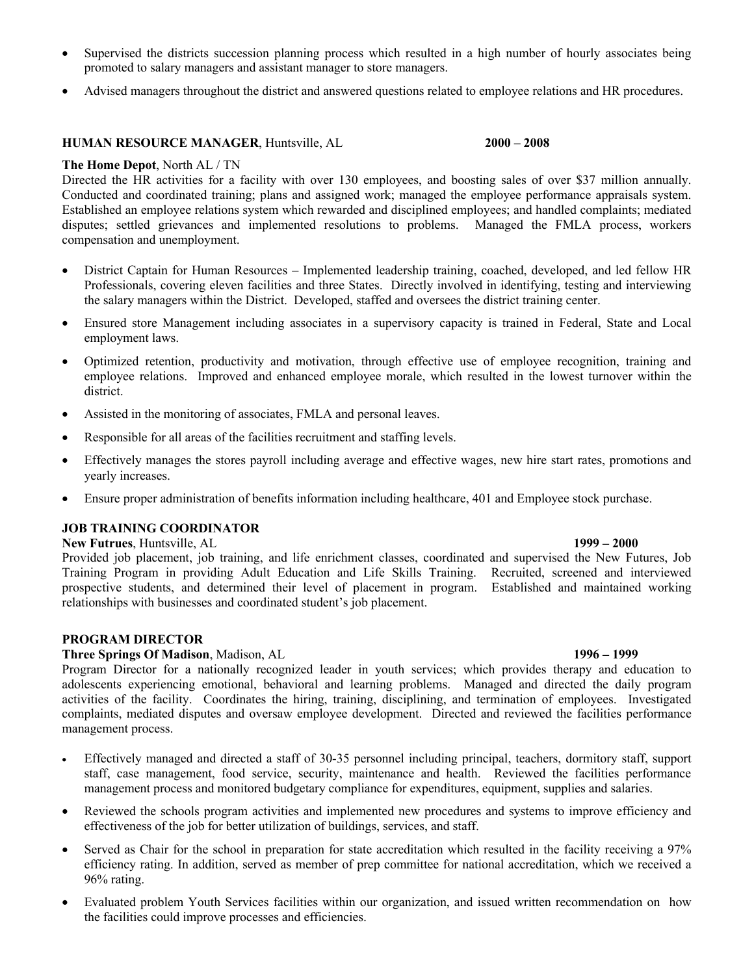- Supervised the districts succession planning process which resulted in a high number of hourly associates being promoted to salary managers and assistant manager to store managers.
- Advised managers throughout the district and answered questions related to employee relations and HR procedures.

### **HUMAN RESOURCE MANAGER**, Huntsville, AL **2000 – 2008**

### **The Home Depot**, North AL / TN

Directed the HR activities for a facility with over 130 employees, and boosting sales of over \$37 million annually. Conducted and coordinated training; plans and assigned work; managed the employee performance appraisals system. Established an employee relations system which rewarded and disciplined employees; and handled complaints; mediated disputes; settled grievances and implemented resolutions to problems. Managed the FMLA process, workers compensation and unemployment.

- District Captain for Human Resources Implemented leadership training, coached, developed, and led fellow HR Professionals, covering eleven facilities and three States. Directly involved in identifying, testing and interviewing the salary managers within the District. Developed, staffed and oversees the district training center.
- Ensured store Management including associates in a supervisory capacity is trained in Federal, State and Local employment laws.
- Optimized retention, productivity and motivation, through effective use of employee recognition, training and employee relations. Improved and enhanced employee morale, which resulted in the lowest turnover within the district.
- Assisted in the monitoring of associates, FMLA and personal leaves.
- Responsible for all areas of the facilities recruitment and staffing levels.
- Effectively manages the stores payroll including average and effective wages, new hire start rates, promotions and yearly increases.
- Ensure proper administration of benefits information including healthcare, 401 and Employee stock purchase.

## **JOB TRAINING COORDINATOR**

**New Futrues**, Huntsville, AL **1999 – 2000**

Provided job placement, job training, and life enrichment classes, coordinated and supervised the New Futures, Job Training Program in providing Adult Education and Life Skills Training. Recruited, screened and interviewed prospective students, and determined their level of placement in program. Established and maintained working relationships with businesses and coordinated student's job placement.

### **PROGRAM DIRECTOR**

### **Three Springs Of Madison**, Madison, AL **1996 – 1999**

Program Director for a nationally recognized leader in youth services; which provides therapy and education to adolescents experiencing emotional, behavioral and learning problems. Managed and directed the daily program activities of the facility. Coordinates the hiring, training, disciplining, and termination of employees. Investigated complaints, mediated disputes and oversaw employee development. Directed and reviewed the facilities performance management process.

- Effectively managed and directed a staff of 30-35 personnel including principal, teachers, dormitory staff, support staff, case management, food service, security, maintenance and health. Reviewed the facilities performance management process and monitored budgetary compliance for expenditures, equipment, supplies and salaries.
- Reviewed the schools program activities and implemented new procedures and systems to improve efficiency and effectiveness of the job for better utilization of buildings, services, and staff.
- Served as Chair for the school in preparation for state accreditation which resulted in the facility receiving a 97% efficiency rating. In addition, served as member of prep committee for national accreditation, which we received a 96% rating.
- Evaluated problem Youth Services facilities within our organization, and issued written recommendation on how the facilities could improve processes and efficiencies.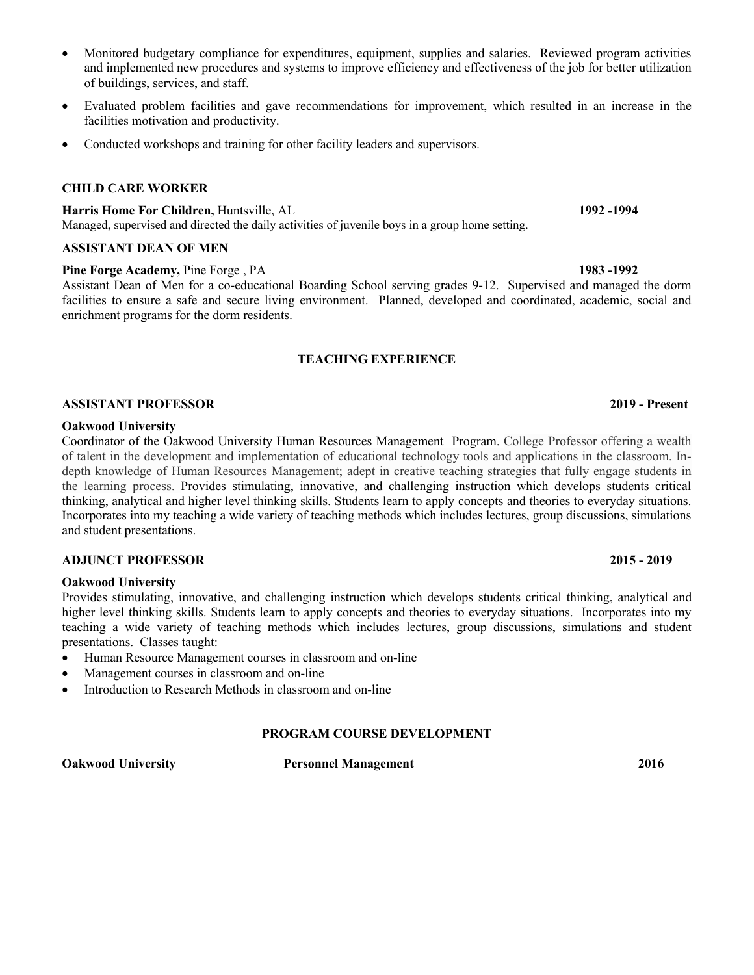- Monitored budgetary compliance for expenditures, equipment, supplies and salaries. Reviewed program activities and implemented new procedures and systems to improve efficiency and effectiveness of the job for better utilization of buildings, services, and staff.
- Evaluated problem facilities and gave recommendations for improvement, which resulted in an increase in the facilities motivation and productivity.
- Conducted workshops and training for other facility leaders and supervisors.

## **CHILD CARE WORKER**

**Harris Home For Children,** Huntsville, AL **1992 -1994** Managed, supervised and directed the daily activities of juvenile boys in a group home setting.

## **ASSISTANT DEAN OF MEN**

## **Pine Forge Academy, Pine Forge , PA** 1983 -1992

Assistant Dean of Men for a co-educational Boarding School serving grades 9-12. Supervised and managed the dorm facilities to ensure a safe and secure living environment. Planned, developed and coordinated, academic, social and enrichment programs for the dorm residents.

## **TEACHING EXPERIENCE**

## **ASSISTANT PROFESSOR 2019 - Present**

## **Oakwood University**

Coordinator of the Oakwood University Human Resources Management Program. College Professor offering a wealth of talent in the development and implementation of educational technology tools and applications in the classroom. Indepth knowledge of Human Resources Management; adept in creative teaching strategies that fully engage students in the learning process. Provides stimulating, innovative, and challenging instruction which develops students critical thinking, analytical and higher level thinking skills. Students learn to apply concepts and theories to everyday situations. Incorporates into my teaching a wide variety of teaching methods which includes lectures, group discussions, simulations and student presentations.

## **ADJUNCT PROFESSOR 2015 - 2019**

## **Oakwood University**

Provides stimulating, innovative, and challenging instruction which develops students critical thinking, analytical and higher level thinking skills. Students learn to apply concepts and theories to everyday situations. Incorporates into my teaching a wide variety of teaching methods which includes lectures, group discussions, simulations and student presentations. Classes taught:

- Human Resource Management courses in classroom and on-line
- Management courses in classroom and on-line
- Introduction to Research Methods in classroom and on-line

## **PROGRAM COURSE DEVELOPMENT**

**Oakwood University Personnel Management 2016**